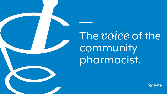# The voice of the community pharmacist.

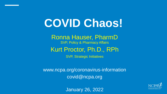# **COVID Chaos!**

Ronna Hauser, PharmD SVP, Policy & Pharmacy Affairs

#### Kurt Proctor, Ph.D., RPh

SVP, Strategic Initiatives

www.ncpa.org/coronavirus-information covid@ncpa.org



January 26, 2022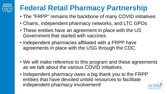#### **Federal Retail Pharmacy Partnership**

- The "FRPP" remains the backbone of many COVID initiatives
- Chains, independent pharmacy networks, and LTC GPOs
- These entities have an agreement in place with the US Government that started with vaccines
- Independent pharmacies affiliated with a FRPP have agreements in place with the USG through the CDC.
- We will make reference to this program and these agreements as we talk about the various COVID initiatives.
- Independent pharmacy owes a big thank you to the FRPP entities that have devoted untold resources to facilitate independent pharmacy involvement!

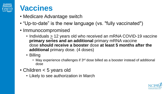

#### **Vaccines**

- Medicare Advantage switch
- "Up-to-date" is the new language (vs. "fully vaccinated")
- Immunocompromised
	- Individuals  $\geq$  12 years old who received an mRNA COVID-19 vaccine **primary series and an additional** primary mRNA vaccine dose **should receive a booster** dose **at least 5 months after the additional** primary dose. (4 doses)
	- Billing
		- May experience challenges if 3<sup>rd</sup> dose billed as a booster instead of additional dose
- Children < 5 years old
	- Likely to see authorization in March

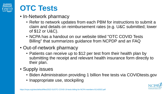

#### **OTC Tests**

- In-Network pharmacy
	- Refer to network updates from each PBM for instructions to submit a claim and details on reimbursement rates (e.g. U&C submitted; lower of \$12 or U&C).
	- NCPA has a handout on our website titled "OTC COVID Tests Billing" that summarizes guidance from NCPDP and an FAQ
- Out-of-network pharmacy
	- Patients can receive up to \$12 per test from their health plan by submitting the receipt and relevant health insurance form directly to their plan.
- Supply issues
	- Biden Administration providing 1 billion free tests via COVIDtests.gov
	- Inappropriate use, stockpiling

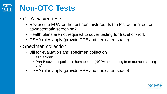

#### **Non-OTC Tests**

- CLIA-waived tests
	- Review the EUA for the test administered. Is the test authorized for asymptomatic screening?
	- Health plans are not required to cover testing for travel or work
	- OSHA rules apply (provide PPE and dedicated space)
- Specimen collection
	- Bill for evaluation and specimen collection
		- eTrueNorth
		- Part B covers if patient is homebound (NCPA not hearing from members doing this)
	- OSHA rules apply (provide PPE and dedicated space)

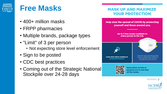

#### **Free Masks**

- 400+ million masks
- FRPP pharmacies
- Multiple brands, package types
- "Limit" of 3 per person
	- Not expecting store level enforcement
- Sign to be posted
- CDC best practices
- Coming out of the Strategic National Stockpile over 24-28 days

#### **MASK UP AND MAXIMIZE YOUR PROTECTION**



properly put on and take

off the masks.



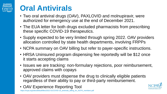# **Oral Antivirals**

- Two oral antiviral drugs (OAV), PAXLOVID and molnupiravir, were authorized for emergency use at the end of December 2021.
- The EUA letter for both drugs excluded pharmacists from prescribing these specific COVID-19 therapeutics.
- Supply expected to be very limited through spring 2022. OAV providers allocation controlled by state health departments, involving FRPPs
- NCPA summary on OAV billing but refer to payer-specific instructions.
- HRSA Uninsured program dispensing fee reportedly will be \$12 once it starts accepting claims
- Issues we are tracking: non-formulary rejections, poor reimbursement, approved claims with copays
- OAV providers must dispense the drug to clinically eligible patients regardless of their ability to pay or third-party reimbursement.
- OAV Experience Reporting Tool

ncpa.org/sites/default/files/2022-01/COVID-19\_antivirals\_billing\_for\_NCPA\_members.pdf

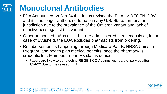# **Monoclonal Antibodies**

- FDA Announced on Jan 24 that it has revised the EUA for REGEN-COV and it is no longer authorized for use in any U.S. State, territory, or jurisdiction due to the prevalence of the Omicron variant and lack of effectiveness against this variant.
- Other authorized mAbs exist, but are administered intravenously or, in the case of Evusheld, the EUA excludes pharmacists from ordering.
- Reimbursement is happening through Medicare Part B, HRSA Uninsured Program, and health plan medical benefits, once the pharmacy is credentialled. Members report Rx claims denied.
	- Payers are likely to be rejecting REGEN-COV claims with date of service after 1/24/22 due to the revised EUA.



https://www.phe.gov/emergency/events/COVID19/investigation-MCM/Bamlanivimab-etesevimab/Pages/bamlanivimab-etesevimab-regen-cov-ordering-update.aspx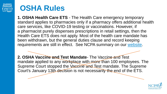

#### **OSHA Rules**

**1. OSHA Health Care ETS** - The Health Care emergency temporary standard applies to pharmacies only if a pharmacy offers additional health care services, like COVID-19 testing or vaccinations. However, if a pharmacist purely dispenses prescriptions in retail settings, then the Health Care ETS does not apply. Most of the health care mandate has been withdrawn, but the general duties clause and record keeping requirements are still in effect. See NCPA summary on our [website](https://ncpa.org/sites/default/files/2022-01/NCPA%20Member%20Summary%20OSHA%20COVID-19%20ETSHC.pdf).

**2. OSHA Vaccine and Test Mandate**- The Vaccine and Test mandate applied to any workplace with more than 100 employees. The Supreme Court stopped the Vaceine and Test mandate. The Supreme Court's January 13th decision is not necessarily the end of the ETS.

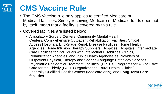# **CMS Vaccine Rule**

- The CMS Vaccine rule only applies to certified Medicare or Medicaid facilities. Simply receiving Medicare or Medicaid funds does not, by itself, mean that a facility is covered by this rule.
- Covered facilities are listed below:
	- Ambulatory Surgery Centers, Community Mental Health Centers, Comprehensive Outpatient Rehabilitation Facilities, Critical Access Hospitals, End-Stage Renal, Disease Facilities, Home Health Agencies, Home Infusion Therapy Suppliers, Hospices, Hospitals, Intermediate Care Facilities for Individuals with Intellectual Disabilities, Clinics, Rehabilitation Agencies, and Public Health Agencies as Providers of Outpatient Physical, Therapy and Speech-Language Pathology Services, Psychiatric Residential Treatment Facilities, (PRTFs), Programs for All-Inclusive Care for the Elderly (PACE) Organizations, Rural Health, Clinics/ Federally Qualified Health Centers (Medicare only), and **Long Term Care facilities**

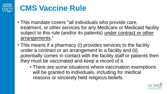# **CMS Vaccine Rule**

- This mandate covers "all individuals who provide care, treatment, or other services for any Medicare or Medicaid facility subject to this rule (and/or its patients) under contract or other arrangements."
- This means if a pharmacy (i) provides services to the facility under a contract or an arrangement to a facility and (ii) potentially comes in contact with the facility staff or patients then they must be vaccinated and keep a record of it.
	- There are some situations where vaccination exemptions will be granted to individuals, including for medical reasons or sincerely held religious beliefs.

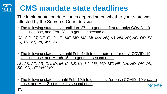

# **CMS mandate state deadlines**

The implementation date varies depending on whether your state was affected by the Supreme Court decision.

• The following states have until Jan. 27th to get their first (or only) COVID -19 vaccine dose, and Feb. 28th to get their second dose:

*CA, CO, CT, DE, FL, HI, IL, ME, MD, MA, MI, MN, NV, NJ, NM, NY, NC, OR, PA, RI, TN, VT, VA, WA, WI*

The following states have until Feb. 14th to get their first (or only) COVID -19 vaccine dose, and March 15th to get their second dose:

*AL, AK, AZ, AR, GA, ID, IN, IA, KS, KY, LA, MS, MO, MT, NE, NH, ND, OH, OK, SC, SD, UT, WV, WY*

• The following state has until Feb. 19th to get its first (or only) COVID -19 vaccine dose, and Mar. 21st to get its second dose: